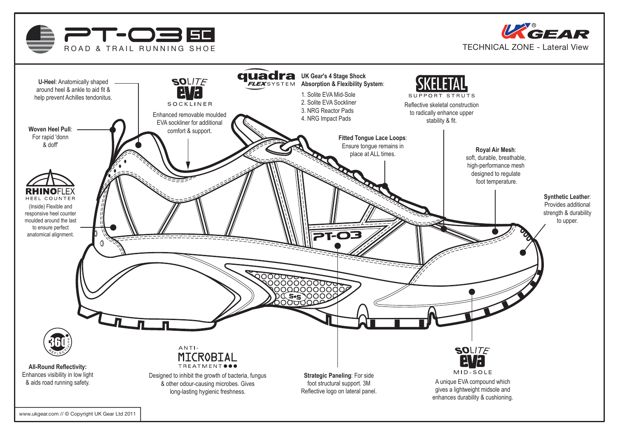



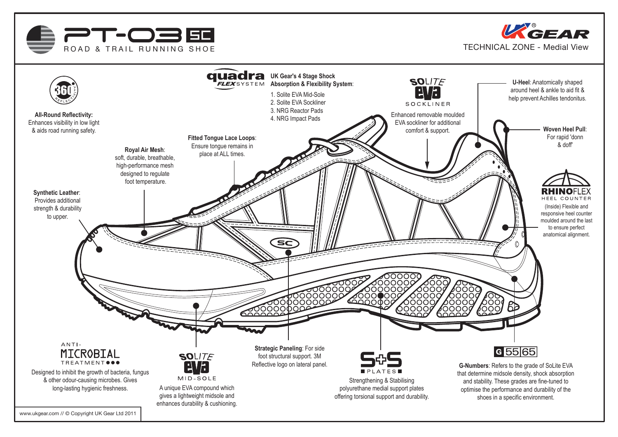